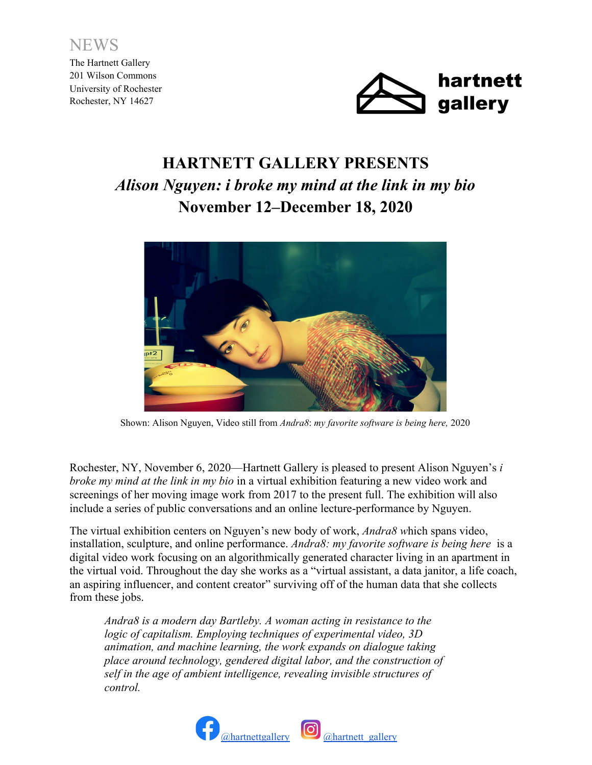

The Hartnett Gallery 201 Wilson Commons University of Rochester Rochester, NY 14627



## **HARTNETT GALLERY PRESENTS** *Alison Nguyen: i broke my mind at the link in my bio* **November 12–December 18, 2020**



Shown: Alison Nguyen, Video still from *Andra8*: *my favorite software is being here,* 2020

Rochester, NY, November 6, 2020—Hartnett Gallery is pleased to present Alison Nguyen's *i broke my mind at the link in my bio* in a virtual exhibition featuring a new video work and screenings of her moving image work from 2017 to the present full. The exhibition will also include a series of public conversations and an online lecture-performance by Nguyen.

The virtual exhibition centers on Nguyen's new body of work, *Andra8 w*hich spans video, installation, sculpture, and online performance. *Andra8: my favorite software is being here* is a digital video work focusing on an algorithmically generated character living in an apartment in the virtual void. Throughout the day she works as a "virtual assistant, a data janitor, a life coach, an aspiring influencer, and content creator" surviving off of the human data that she collects from these jobs.

*Andra8 is a modern day Bartleby. A woman acting in resistance to the logic of capitalism. Employing techniques of experimental video, 3D animation, and machine learning, the work expands on dialogue taking place around technology, gendered digital labor, and the construction of self in the age of ambient intelligence, revealing invisible structures of control.*